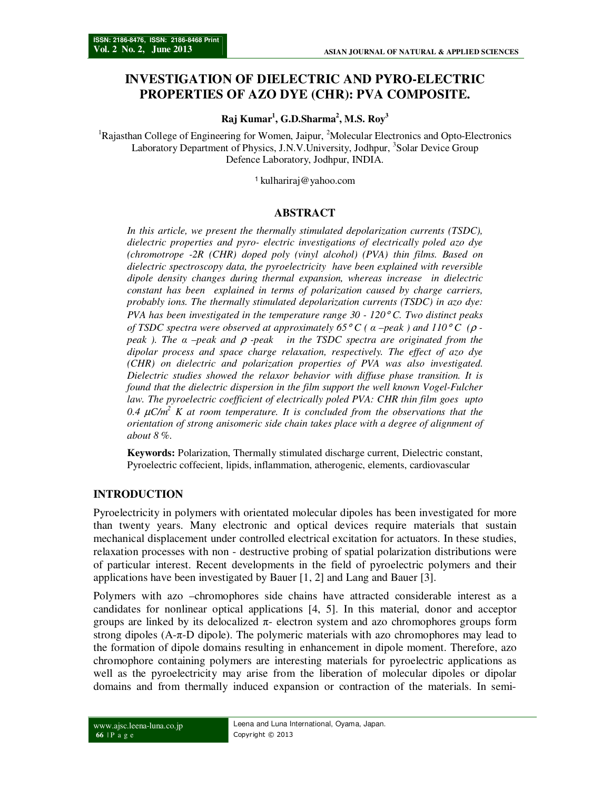# **INVESTIGATION OF DIELECTRIC AND PYRO-ELECTRIC PROPERTIES OF AZO DYE (CHR): PVA COMPOSITE.**

**Raj Kumar<sup>1</sup> , G.D.Sharma<sup>2</sup> , M.S. Roy<sup>3</sup>**

<sup>1</sup>Rajasthan College of Engineering for Women, Jaipur, <sup>2</sup>Molecular Electronics and Opto-Electronics Laboratory Department of Physics, J.N.V.University, Jodhpur, <sup>3</sup>Solar Device Group Defence Laboratory, Jodhpur, INDIA.

<sup>1</sup>kulhariraj@yahoo.com

#### **ABSTRACT**

In this article, we present the thermally stimulated depolarization currents (TSDC), *dielectric properties and pyro- electric investigations of electrically poled azo dye (chromotrope -2R (CHR) doped poly (vinyl alcohol) (PVA) thin films. Based on dielectric spectroscopy data, the pyroelectricity have been explained with reversible dipole density changes during thermal expansion, whereas increase in dielectric constant has been explained in terms of polarization caused by charge carriers, probably ions. The thermally stimulated depolarization currents (TSDC) in azo dye: PVA has been investigated in the temperature range 30 - 120*° *C. Two distinct peaks of TSDC spectra were observed at approximately 65*° *C ( α –peak ) and 110*° *C (*ρ *peak ). The α –peak and* ρ *-peak in the TSDC spectra are originated from the dipolar process and space charge relaxation, respectively. The effect of azo dye (CHR) on dielectric and polarization properties of PVA was also investigated. Dielectric studies showed the relaxor behavior with diffuse phase transition. It is found that the dielectric dispersion in the film support the well known Vogel-Fulcher law. The pyroelectric coefficient of electrically poled PVA: CHR thin film goes upto*   $0.4$   $\mu$ C/m<sup>2</sup> K at room temperature. It is concluded from the observations that the *orientation of strong anisomeric side chain takes place with a degree of alignment of about 8 %.* 

**Keywords:** Polarization, Thermally stimulated discharge current, Dielectric constant, Pyroelectric coffecient, lipids, inflammation, atherogenic, elements, cardiovascular

### **INTRODUCTION**

Pyroelectricity in polymers with orientated molecular dipoles has been investigated for more than twenty years. Many electronic and optical devices require materials that sustain mechanical displacement under controlled electrical excitation for actuators. In these studies, relaxation processes with non - destructive probing of spatial polarization distributions were of particular interest. Recent developments in the field of pyroelectric polymers and their applications have been investigated by Bauer [1, 2] and Lang and Bauer [3].

Polymers with azo –chromophores side chains have attracted considerable interest as a candidates for nonlinear optical applications [4, 5]. In this material, donor and acceptor groups are linked by its delocalized  $\pi$ - electron system and azo chromophores groups form strong dipoles  $(A-\pi)$  dipole). The polymeric materials with azo chromophores may lead to the formation of dipole domains resulting in enhancement in dipole moment. Therefore, azo chromophore containing polymers are interesting materials for pyroelectric applications as well as the pyroelectricity may arise from the liberation of molecular dipoles or dipolar domains and from thermally induced expansion or contraction of the materials. In semi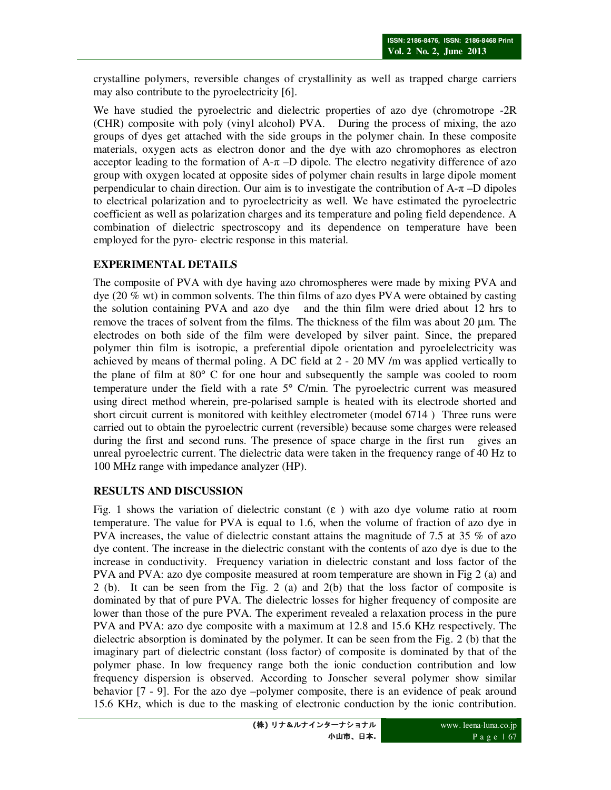crystalline polymers, reversible changes of crystallinity as well as trapped charge carriers may also contribute to the pyroelectricity [6].

We have studied the pyroelectric and dielectric properties of azo dye (chromotrope -2R (CHR) composite with poly (vinyl alcohol) PVA. During the process of mixing, the azo groups of dyes get attached with the side groups in the polymer chain. In these composite materials, oxygen acts as electron donor and the dye with azo chromophores as electron acceptor leading to the formation of  $A-\pi$  –D dipole. The electro negativity difference of azo group with oxygen located at opposite sides of polymer chain results in large dipole moment perpendicular to chain direction. Our aim is to investigate the contribution of  $A-\pi$  –D dipoles to electrical polarization and to pyroelectricity as well. We have estimated the pyroelectric coefficient as well as polarization charges and its temperature and poling field dependence. A combination of dielectric spectroscopy and its dependence on temperature have been employed for the pyro- electric response in this material.

# **EXPERIMENTAL DETAILS**

The composite of PVA with dye having azo chromospheres were made by mixing PVA and dye (20 % wt) in common solvents. The thin films of azo dyes PVA were obtained by casting the solution containing PVA and azo dye and the thin film were dried about 12 hrs to remove the traces of solvent from the films. The thickness of the film was about 20  $\mu$ m. The electrodes on both side of the film were developed by silver paint. Since, the prepared polymer thin film is isotropic, a preferential dipole orientation and pyroelelectricity was achieved by means of thermal poling. A DC field at 2 - 20 MV /m was applied vertically to the plane of film at 80° C for one hour and subsequently the sample was cooled to room temperature under the field with a rate 5° C/min. The pyroelectric current was measured using direct method wherein, pre-polarised sample is heated with its electrode shorted and short circuit current is monitored with keithley electrometer (model 6714 ) Three runs were carried out to obtain the pyroelectric current (reversible) because some charges were released during the first and second runs. The presence of space charge in the first run gives an unreal pyroelectric current. The dielectric data were taken in the frequency range of 40 Hz to 100 MHz range with impedance analyzer (HP).

## **RESULTS AND DISCUSSION**

Fig. 1 shows the variation of dielectric constant  $(\epsilon)$  with azo dye volume ratio at room temperature. The value for PVA is equal to 1.6, when the volume of fraction of azo dye in PVA increases, the value of dielectric constant attains the magnitude of 7.5 at 35 % of azo dye content. The increase in the dielectric constant with the contents of azo dye is due to the increase in conductivity. Frequency variation in dielectric constant and loss factor of the PVA and PVA: azo dye composite measured at room temperature are shown in Fig 2 (a) and 2 (b). It can be seen from the Fig. 2 (a) and 2(b) that the loss factor of composite is dominated by that of pure PVA. The dielectric losses for higher frequency of composite are lower than those of the pure PVA. The experiment revealed a relaxation process in the pure PVA and PVA: azo dye composite with a maximum at 12.8 and 15.6 KHz respectively. The dielectric absorption is dominated by the polymer. It can be seen from the Fig. 2 (b) that the imaginary part of dielectric constant (loss factor) of composite is dominated by that of the polymer phase. In low frequency range both the ionic conduction contribution and low frequency dispersion is observed. According to Jonscher several polymer show similar behavior [7 - 9]. For the azo dye –polymer composite, there is an evidence of peak around 15.6 KHz, which is due to the masking of electronic conduction by the ionic contribution.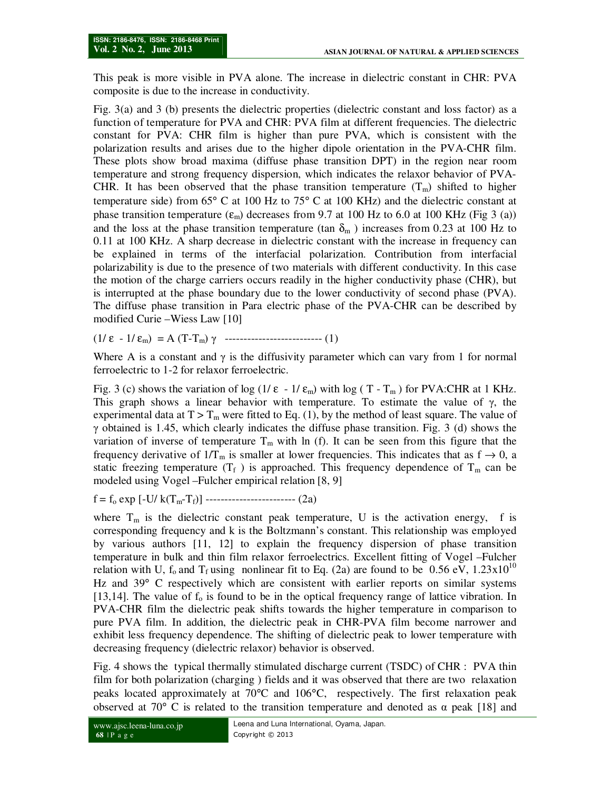This peak is more visible in PVA alone. The increase in dielectric constant in CHR: PVA composite is due to the increase in conductivity.

Fig. 3(a) and 3 (b) presents the dielectric properties (dielectric constant and loss factor) as a function of temperature for PVA and CHR: PVA film at different frequencies. The dielectric constant for PVA: CHR film is higher than pure PVA, which is consistent with the polarization results and arises due to the higher dipole orientation in the PVA-CHR film. These plots show broad maxima (diffuse phase transition DPT) in the region near room temperature and strong frequency dispersion, which indicates the relaxor behavior of PVA-CHR. It has been observed that the phase transition temperature  $(T_m)$  shifted to higher temperature side) from  $65^{\circ}$  C at 100 Hz to  $75^{\circ}$  C at 100 KHz) and the dielectric constant at phase transition temperature  $(\epsilon_m)$  decreases from 9.7 at 100 Hz to 6.0 at 100 KHz (Fig 3 (a)) and the loss at the phase transition temperature (tan  $\delta_{m}$ ) increases from 0.23 at 100 Hz to 0.11 at 100 KHz. A sharp decrease in dielectric constant with the increase in frequency can be explained in terms of the interfacial polarization. Contribution from interfacial polarizability is due to the presence of two materials with different conductivity. In this case the motion of the charge carriers occurs readily in the higher conductivity phase (CHR), but is interrupted at the phase boundary due to the lower conductivity of second phase (PVA). The diffuse phase transition in Para electric phase of the PVA-CHR can be described by modified Curie –Wiess Law [10]

(1/  $\varepsilon$  - 1/ $\varepsilon$ <sub>m</sub>) = A (T-T<sub>m</sub>)  $\gamma$  ----------------------------- (1)

Where A is a constant and  $\gamma$  is the diffusivity parameter which can vary from 1 for normal ferroelectric to 1-2 for relaxor ferroelectric.

Fig. 3 (c) shows the variation of log  $(1/\epsilon - 1/\epsilon_m)$  with log (T - T<sub>m</sub>) for PVA:CHR at 1 KHz. This graph shows a linear behavior with temperature. To estimate the value of  $\gamma$ , the experimental data at  $T > T_m$  were fitted to Eq. (1), by the method of least square. The value of γ obtained is 1.45, which clearly indicates the diffuse phase transition. Fig. 3 (d) shows the variation of inverse of temperature  $T_m$  with ln (f). It can be seen from this figure that the frequency derivative of  $1/T_m$  is smaller at lower frequencies. This indicates that as  $f \rightarrow 0$ , a static freezing temperature  $(T_f)$  is approached. This frequency dependence of  $T_m$  can be modeled using Vogel –Fulcher empirical relation [8, 9]

 $f = f_0 \exp[-U/k(T_m - T_f)]$  ------------------------- (2a)

where  $T_m$  is the dielectric constant peak temperature, U is the activation energy, f is corresponding frequency and k is the Boltzmann's constant. This relationship was employed by various authors [11, 12] to explain the frequency dispersion of phase transition temperature in bulk and thin film relaxor ferroelectrics. Excellent fitting of Vogel –Fulcher relation with U,  $f_0$  and  $T_f$  using nonlinear fit to Eq. (2a) are found to be 0.56 eV, 1.23x10<sup>10</sup> Hz and 39° C respectively which are consistent with earlier reports on similar systems [13,14]. The value of  $f_0$  is found to be in the optical frequency range of lattice vibration. In PVA-CHR film the dielectric peak shifts towards the higher temperature in comparison to pure PVA film. In addition, the dielectric peak in CHR-PVA film become narrower and exhibit less frequency dependence. The shifting of dielectric peak to lower temperature with decreasing frequency (dielectric relaxor) behavior is observed.

Fig. 4 shows the typical thermally stimulated discharge current (TSDC) of CHR : PVA thin film for both polarization (charging ) fields and it was observed that there are two relaxation peaks located approximately at 70°C and 106°C, respectively. The first relaxation peak observed at 70 $\degree$  C is related to the transition temperature and denoted as  $\alpha$  peak [18] and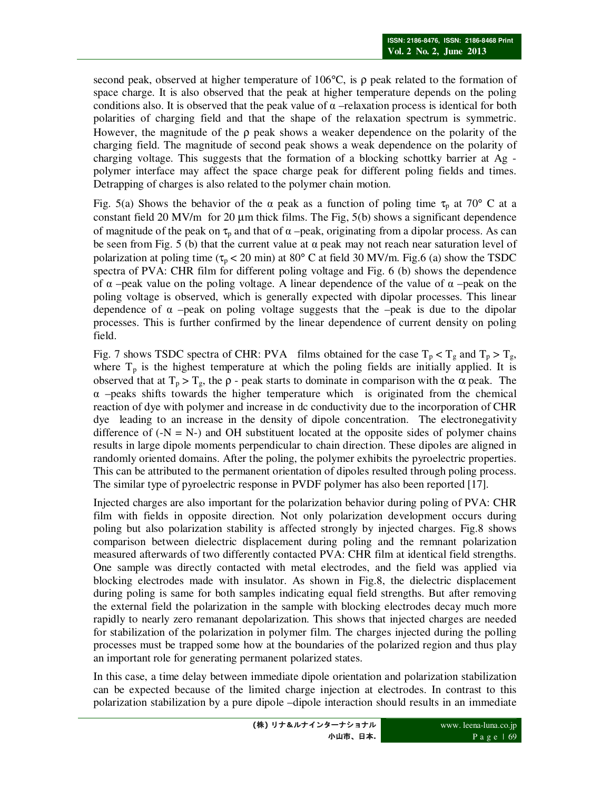second peak, observed at higher temperature of 106 $\degree$ C, is  $\rho$  peak related to the formation of space charge. It is also observed that the peak at higher temperature depends on the poling conditions also. It is observed that the peak value of  $\alpha$  –relaxation process is identical for both polarities of charging field and that the shape of the relaxation spectrum is symmetric. However, the magnitude of the  $\rho$  peak shows a weaker dependence on the polarity of the charging field. The magnitude of second peak shows a weak dependence on the polarity of charging voltage. This suggests that the formation of a blocking schottky barrier at Ag polymer interface may affect the space charge peak for different poling fields and times. Detrapping of charges is also related to the polymer chain motion.

Fig. 5(a) Shows the behavior of the  $\alpha$  peak as a function of poling time  $\tau_p$  at 70° C at a constant field 20 MV/m for 20  $\mu$ m thick films. The Fig, 5(b) shows a significant dependence of magnitude of the peak on  $\tau_p$  and that of  $\alpha$  –peak, originating from a dipolar process. As can be seen from Fig. 5 (b) that the current value at  $\alpha$  peak may not reach near saturation level of polarization at poling time ( $\tau_p$  < 20 min) at 80° C at field 30 MV/m. Fig.6 (a) show the TSDC spectra of PVA: CHR film for different poling voltage and Fig. 6 (b) shows the dependence of α –peak value on the poling voltage. A linear dependence of the value of α –peak on the poling voltage is observed, which is generally expected with dipolar processes. This linear dependence of  $\alpha$  –peak on poling voltage suggests that the –peak is due to the dipolar processes. This is further confirmed by the linear dependence of current density on poling field.

Fig. 7 shows TSDC spectra of CHR: PVA films obtained for the case  $T_p < T_g$  and  $T_p > T_g$ , where  $T_p$  is the highest temperature at which the poling fields are initially applied. It is observed that at  $T_p > T_g$ , the  $\rho$  - peak starts to dominate in comparison with the  $\alpha$  peak. The  $\alpha$  –peaks shifts towards the higher temperature which is originated from the chemical reaction of dye with polymer and increase in dc conductivity due to the incorporation of CHR dye leading to an increase in the density of dipole concentration. The electronegativity difference of  $(-N = N<sub>-</sub>)$  and OH substituent located at the opposite sides of polymer chains results in large dipole moments perpendicular to chain direction. These dipoles are aligned in randomly oriented domains. After the poling, the polymer exhibits the pyroelectric properties. This can be attributed to the permanent orientation of dipoles resulted through poling process. The similar type of pyroelectric response in PVDF polymer has also been reported [17].

Injected charges are also important for the polarization behavior during poling of PVA: CHR film with fields in opposite direction. Not only polarization development occurs during poling but also polarization stability is affected strongly by injected charges. Fig.8 shows comparison between dielectric displacement during poling and the remnant polarization measured afterwards of two differently contacted PVA: CHR film at identical field strengths. One sample was directly contacted with metal electrodes, and the field was applied via blocking electrodes made with insulator. As shown in Fig.8, the dielectric displacement during poling is same for both samples indicating equal field strengths. But after removing the external field the polarization in the sample with blocking electrodes decay much more rapidly to nearly zero remanant depolarization. This shows that injected charges are needed for stabilization of the polarization in polymer film. The charges injected during the polling processes must be trapped some how at the boundaries of the polarized region and thus play an important role for generating permanent polarized states.

In this case, a time delay between immediate dipole orientation and polarization stabilization can be expected because of the limited charge injection at electrodes. In contrast to this polarization stabilization by a pure dipole –dipole interaction should results in an immediate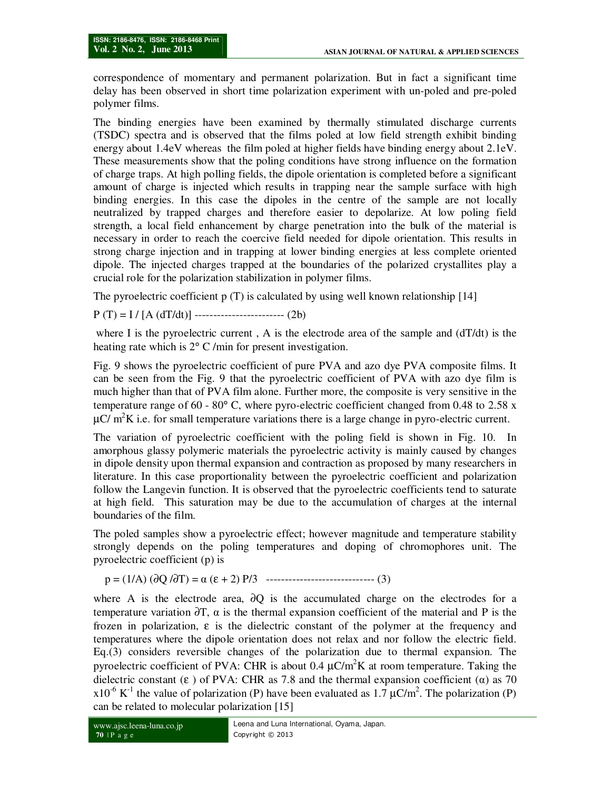correspondence of momentary and permanent polarization. But in fact a significant time delay has been observed in short time polarization experiment with un-poled and pre-poled polymer films.

The binding energies have been examined by thermally stimulated discharge currents (TSDC) spectra and is observed that the films poled at low field strength exhibit binding energy about 1.4eV whereas the film poled at higher fields have binding energy about 2.1eV. These measurements show that the poling conditions have strong influence on the formation of charge traps. At high polling fields, the dipole orientation is completed before a significant amount of charge is injected which results in trapping near the sample surface with high binding energies. In this case the dipoles in the centre of the sample are not locally neutralized by trapped charges and therefore easier to depolarize. At low poling field strength, a local field enhancement by charge penetration into the bulk of the material is necessary in order to reach the coercive field needed for dipole orientation. This results in strong charge injection and in trapping at lower binding energies at less complete oriented dipole. The injected charges trapped at the boundaries of the polarized crystallites play a crucial role for the polarization stabilization in polymer films.

The pyroelectric coefficient  $p(T)$  is calculated by using well known relationship [14]

 $P(T) = I / [A (dT/dt)]$  ---------------------------- (2b)

where I is the pyroelectric current, A is the electrode area of the sample and  $(dT/dt)$  is the heating rate which is 2° C /min for present investigation.

Fig. 9 shows the pyroelectric coefficient of pure PVA and azo dye PVA composite films. It can be seen from the Fig. 9 that the pyroelectric coefficient of PVA with azo dye film is much higher than that of PVA film alone. Further more, the composite is very sensitive in the temperature range of 60 - 80 $^{\circ}$  C, where pyro-electric coefficient changed from 0.48 to 2.58 x  $\mu$ C/ m<sup>2</sup>K i.e. for small temperature variations there is a large change in pyro-electric current.

The variation of pyroelectric coefficient with the poling field is shown in Fig. 10. In amorphous glassy polymeric materials the pyroelectric activity is mainly caused by changes in dipole density upon thermal expansion and contraction as proposed by many researchers in literature. In this case proportionality between the pyroelectric coefficient and polarization follow the Langevin function. It is observed that the pyroelectric coefficients tend to saturate at high field. This saturation may be due to the accumulation of charges at the internal boundaries of the film.

The poled samples show a pyroelectric effect; however magnitude and temperature stability strongly depends on the poling temperatures and doping of chromophores unit. The pyroelectric coefficient (p) is

p = (1/A) (∂Q /∂T) = α (ε + 2) P/3 ----------------------------- (3)

where A is the electrode area,  $\partial$ O is the accumulated charge on the electrodes for a temperature variation  $\partial T$ ,  $\alpha$  is the thermal expansion coefficient of the material and P is the frozen in polarization,  $\varepsilon$  is the dielectric constant of the polymer at the frequency and temperatures where the dipole orientation does not relax and nor follow the electric field. Eq.(3) considers reversible changes of the polarization due to thermal expansion. The pyroelectric coefficient of PVA: CHR is about 0.4  $\mu$ C/m<sup>2</sup>K at room temperature. Taking the dielectric constant (ε) of PVA: CHR as 7.8 and the thermal expansion coefficient ( $\alpha$ ) as 70  $x10^{-6}$  K<sup>-1</sup> the value of polarization (P) have been evaluated as 1.7  $\mu$ C/m<sup>2</sup>. The polarization (P) can be related to molecular polarization [15]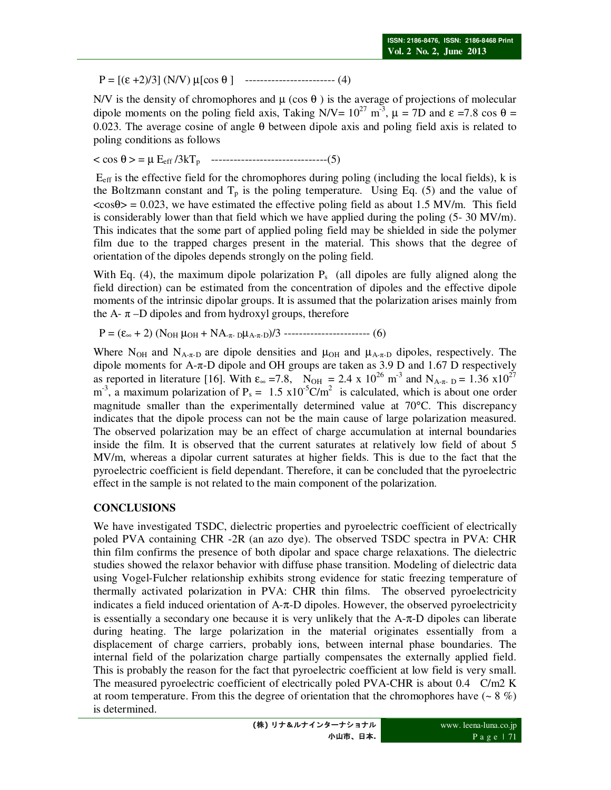$P = [(\epsilon + 2)/3]$  (N/V)  $\mu$ [cos  $\theta$ ] ------------------------------ (4)

N/V is the density of chromophores and  $\mu$  (cos  $\theta$ ) is the average of projections of molecular dipole moments on the poling field axis, Taking N/V=  $10^{27}$  m<sup>-3</sup>,  $\mu$  = 7D and  $\varepsilon$  =7.8 cos  $\theta$  = 0.023. The average cosine of angle θ between dipole axis and poling field axis is related to poling conditions as follows

< cos θ > = µ Eeff /3kTp -------------------------------(5)

 Eeff is the effective field for the chromophores during poling (including the local fields), k is the Boltzmann constant and  $T_p$  is the poling temperature. Using Eq. (5) and the value of  $\langle \cos \theta \rangle = 0.023$ , we have estimated the effective poling field as about 1.5 MV/m. This field is considerably lower than that field which we have applied during the poling  $(5-30 \text{ MV/m})$ . This indicates that the some part of applied poling field may be shielded in side the polymer film due to the trapped charges present in the material. This shows that the degree of orientation of the dipoles depends strongly on the poling field.

With Eq. (4), the maximum dipole polarization  $P_s$  (all dipoles are fully aligned along the field direction) can be estimated from the concentration of dipoles and the effective dipole moments of the intrinsic dipolar groups. It is assumed that the polarization arises mainly from the A- $\pi$ –D dipoles and from hydroxyl groups, therefore

 $P = (\varepsilon_{\infty} + 2) (N_{OH} \mu_{OH} + NA_{\pi \text{-} D} \mu_{A \text{-} \pi \text{-} D})/3$  ---------------------------- (6)

Where N<sub>OH</sub> and N<sub>A-π-D</sub> are dipole densities and  $\mu$ <sub>OH</sub> and  $\mu$ <sub>A-π-D</sub> dipoles, respectively. The dipole moments for A-π-D dipole and OH groups are taken as 3.9 D and 1.67 D respectively as reported in literature [16]. With  $\varepsilon_{\infty}$  =7.8, N<sub>OH</sub> = 2.4 x 10<sup>26</sup> m<sup>-3</sup> and N<sub>A-π-D</sub> = 1.36 x10<sup>27</sup>  $m^{-3}$ , a maximum polarization of P<sub>s</sub> = 1.5 x10<sup>-5</sup>C/m<sup>2</sup> is calculated, which is about one order magnitude smaller than the experimentally determined value at 70°C. This discrepancy indicates that the dipole process can not be the main cause of large polarization measured. The observed polarization may be an effect of charge accumulation at internal boundaries inside the film. It is observed that the current saturates at relatively low field of about 5 MV/m, whereas a dipolar current saturates at higher fields. This is due to the fact that the pyroelectric coefficient is field dependant. Therefore, it can be concluded that the pyroelectric effect in the sample is not related to the main component of the polarization.

## **CONCLUSIONS**

We have investigated TSDC, dielectric properties and pyroelectric coefficient of electrically poled PVA containing CHR -2R (an azo dye). The observed TSDC spectra in PVA: CHR thin film confirms the presence of both dipolar and space charge relaxations. The dielectric studies showed the relaxor behavior with diffuse phase transition. Modeling of dielectric data using Vogel-Fulcher relationship exhibits strong evidence for static freezing temperature of thermally activated polarization in PVA: CHR thin films. The observed pyroelectricity indicates a field induced orientation of  $A$ -π-D dipoles. However, the observed pyroelectricity is essentially a secondary one because it is very unlikely that the A-π-D dipoles can liberate during heating. The large polarization in the material originates essentially from a displacement of charge carriers, probably ions, between internal phase boundaries. The internal field of the polarization charge partially compensates the externally applied field. This is probably the reason for the fact that pyroelectric coefficient at low field is very small. The measured pyroelectric coefficient of electrically poled PVA-CHR is about 0.4 C/m2 K at room temperature. From this the degree of orientation that the chromophores have  $(-8\%)$ is determined.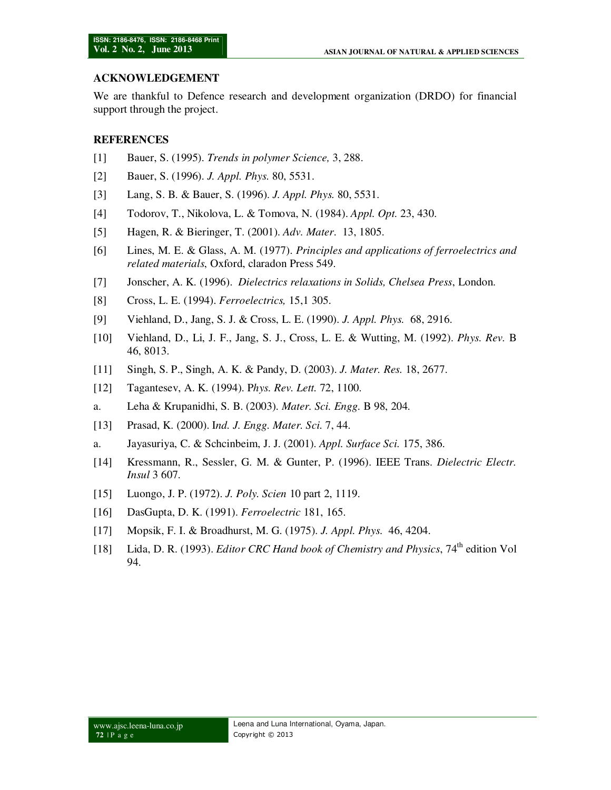### **ACKNOWLEDGEMENT**

We are thankful to Defence research and development organization (DRDO) for financial support through the project.

### **REFERENCES**

- [1] Bauer, S. (1995). *Trends in polymer Science,* 3, 288.
- [2] Bauer, S. (1996). *J. Appl. Phys.* 80, 5531.
- [3] Lang, S. B. & Bauer, S. (1996). *J. Appl. Phys.* 80, 5531.
- [4] Todorov, T., Nikolova, L. & Tomova, N. (1984). *Appl. Opt.* 23, 430.
- [5] Hagen, R. & Bieringer, T. (2001). *Adv. Mater*. 13, 1805.
- [6] Lines, M. E. & Glass, A. M. (1977). *Principles and applications of ferroelectrics and related materials*, Oxford, claradon Press 549.
- [7] Jonscher, A. K. (1996). *Dielectrics relaxations in Solids, Chelsea Press*, London.
- [8] Cross, L. E. (1994). *Ferroelectrics,* 15,1 305.
- [9] Viehland, D., Jang, S. J. & Cross, L. E. (1990). *J. Appl. Phys.* 68, 2916.
- [10] Viehland, D., Li, J. F., Jang, S. J., Cross, L. E. & Wutting, M. (1992). *Phys. Rev.* B 46, 8013.
- [11] Singh, S. P., Singh, A. K. & Pandy, D. (2003). *J. Mater. Res.* 18, 2677.
- [12] Tagantesev, A. K. (1994). P*hys. Rev. Lett.* 72, 1100.
- a. Leha & Krupanidhi, S. B. (2003). *Mater. Sci. Engg.* B 98, 204.
- [13] Prasad, K. (2000). I*nd. J. Engg. Mater. Sci.* 7, 44.
- a. Jayasuriya, C. & Schcinbeim, J. J. (2001). *Appl. Surface Sci.* 175, 386.
- [14] Kressmann, R., Sessler, G. M. & Gunter, P. (1996). IEEE Trans. *Dielectric Electr. Insul* 3 607.
- [15] Luongo, J. P. (1972). *J. Poly. Scien* 10 part 2, 1119.
- [16] DasGupta, D. K. (1991). *Ferroelectric* 181, 165.
- [17] Mopsik, F. I. & Broadhurst, M. G. (1975). *J. Appl. Phys.* 46, 4204.
- [18] Lida, D. R. (1993). *Editor CRC Hand book of Chemistry and Physics*, 74<sup>th</sup> edition Vol 94.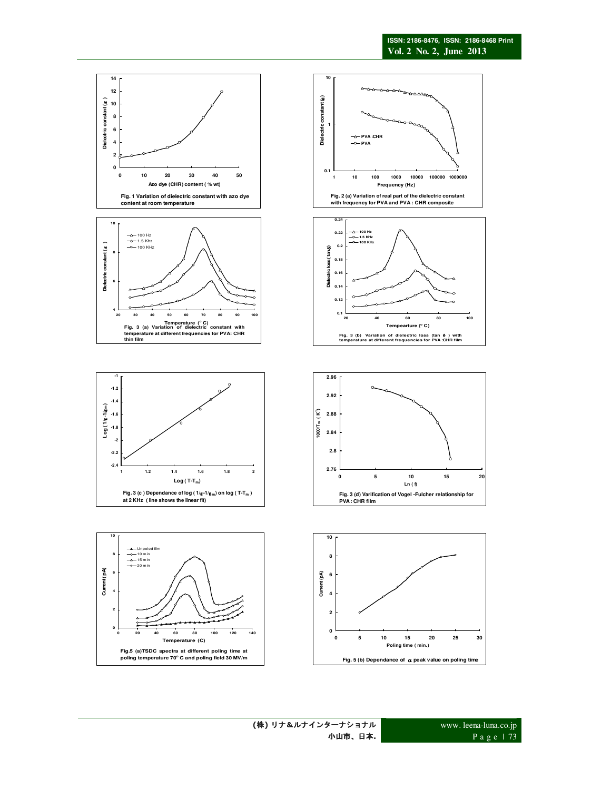